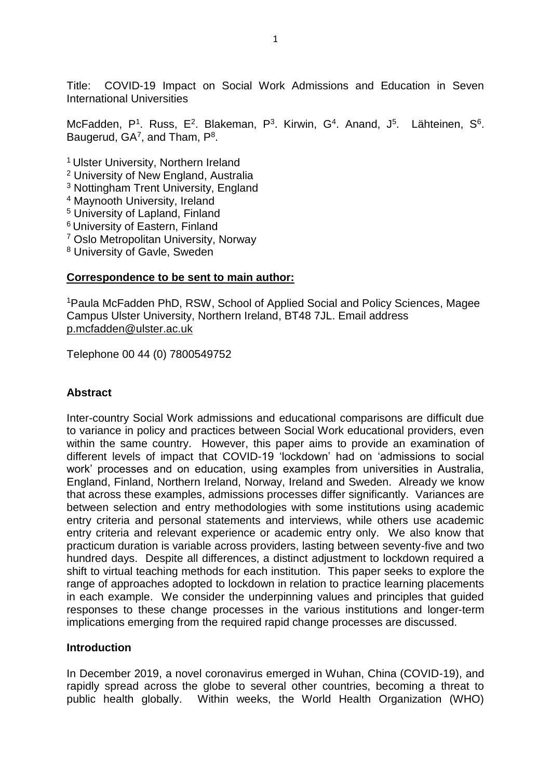Title:COVID-19 Impact on Social Work Admissions and Education in Seven International Universities

McFadden, P<sup>1</sup>. Russ, E<sup>2</sup>. Blakeman, P<sup>3</sup>. Kirwin, G<sup>4</sup>. Anand, J<sup>5</sup>. Lähteinen, S<sup>6</sup>. Baugerud, GA<sup>7</sup>, and Tham, P<sup>8</sup>.

- <sup>1</sup> Ulster University, Northern Ireland
- <sup>2</sup> University of New England, Australia
- <sup>3</sup> Nottingham Trent University, England
- <sup>4</sup> Maynooth University, Ireland
- <sup>5</sup> University of Lapland, Finland
- <sup>6</sup> University of Eastern, Finland
- <sup>7</sup> Oslo Metropolitan University, Norway
- <sup>8</sup> University of Gavle, Sweden

#### **Correspondence to be sent to main author:**

<sup>1</sup>Paula McFadden PhD, RSW, School of Applied Social and Policy Sciences, Magee Campus Ulster University, Northern Ireland, BT48 7JL. Email address [p.mcfadden@ulster.ac.uk](mailto:p.mcfadden@ulster.ac.uk)

Telephone 00 44 (0) 7800549752

### **Abstract**

Inter-country Social Work admissions and educational comparisons are difficult due to variance in policy and practices between Social Work educational providers, even within the same country. However, this paper aims to provide an examination of different levels of impact that COVID-19 'lockdown' had on 'admissions to social work' processes and on education, using examples from universities in Australia, England, Finland, Northern Ireland, Norway, Ireland and Sweden. Already we know that across these examples, admissions processes differ significantly. Variances are between selection and entry methodologies with some institutions using academic entry criteria and personal statements and interviews, while others use academic entry criteria and relevant experience or academic entry only. We also know that practicum duration is variable across providers, lasting between seventy-five and two hundred days. Despite all differences, a distinct adjustment to lockdown required a shift to virtual teaching methods for each institution. This paper seeks to explore the range of approaches adopted to lockdown in relation to practice learning placements in each example. We consider the underpinning values and principles that guided responses to these change processes in the various institutions and longer-term implications emerging from the required rapid change processes are discussed.

### **Introduction**

In December 2019, a novel coronavirus emerged in Wuhan, China (COVID-19), and rapidly spread across the globe to several other countries, becoming a threat to public health globally. Within weeks, the World Health Organization (WHO)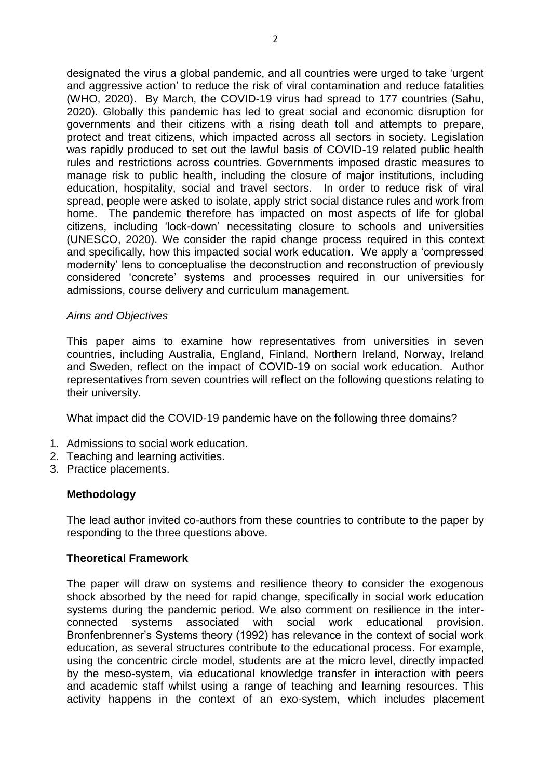designated the virus a global pandemic, and all countries were urged to take 'urgent and aggressive action' to reduce the risk of viral contamination and reduce fatalities (WHO, 2020). By March, the COVID-19 virus had spread to 177 countries (Sahu, 2020). Globally this pandemic has led to great social and economic disruption for governments and their citizens with a rising death toll and attempts to prepare, protect and treat citizens, which impacted across all sectors in society. Legislation was rapidly produced to set out the lawful basis of COVID-19 related public health rules and restrictions across countries. Governments imposed drastic measures to manage risk to public health, including the closure of major institutions, including education, hospitality, social and travel sectors. In order to reduce risk of viral spread, people were asked to isolate, apply strict social distance rules and work from home. The pandemic therefore has impacted on most aspects of life for global citizens, including 'lock-down' necessitating closure to schools and universities (UNESCO, 2020). We consider the rapid change process required in this context and specifically, how this impacted social work education. We apply a 'compressed modernity' lens to conceptualise the deconstruction and reconstruction of previously considered 'concrete' systems and processes required in our universities for admissions, course delivery and curriculum management.

### *Aims and Objectives*

This paper aims to examine how representatives from universities in seven countries, including Australia, England, Finland, Northern Ireland, Norway, Ireland and Sweden, reflect on the impact of COVID-19 on social work education. Author representatives from seven countries will reflect on the following questions relating to their university.

What impact did the COVID-19 pandemic have on the following three domains?

- 1. Admissions to social work education.
- 2. Teaching and learning activities.
- 3. Practice placements.

# **Methodology**

The lead author invited co-authors from these countries to contribute to the paper by responding to the three questions above.

### **Theoretical Framework**

The paper will draw on systems and resilience theory to consider the exogenous shock absorbed by the need for rapid change, specifically in social work education systems during the pandemic period. We also comment on resilience in the interconnected systems associated with social work educational provision. Bronfenbrenner's Systems theory (1992) has relevance in the context of social work education, as several structures contribute to the educational process. For example, using the concentric circle model, students are at the micro level, directly impacted by the meso-system, via educational knowledge transfer in interaction with peers and academic staff whilst using a range of teaching and learning resources. This activity happens in the context of an exo-system, which includes placement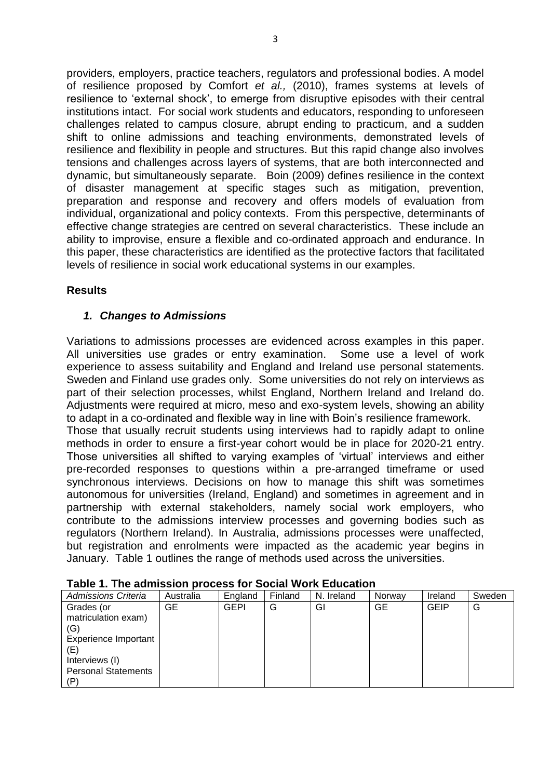providers, employers, practice teachers, regulators and professional bodies. A model of resilience proposed by Comfort *et al.,* (2010), frames systems at levels of resilience to 'external shock', to emerge from disruptive episodes with their central institutions intact. For social work students and educators, responding to unforeseen challenges related to campus closure, abrupt ending to practicum, and a sudden shift to online admissions and teaching environments, demonstrated levels of resilience and flexibility in people and structures. But this rapid change also involves tensions and challenges across layers of systems, that are both interconnected and dynamic, but simultaneously separate. Boin (2009) defines resilience in the context of disaster management at specific stages such as mitigation, prevention, preparation and response and recovery and offers models of evaluation from individual, organizational and policy contexts. From this perspective, determinants of effective change strategies are centred on several characteristics. These include an ability to improvise, ensure a flexible and co-ordinated approach and endurance. In this paper, these characteristics are identified as the protective factors that facilitated levels of resilience in social work educational systems in our examples.

# **Results**

# *1. Changes to Admissions*

Variations to admissions processes are evidenced across examples in this paper. All universities use grades or entry examination. Some use a level of work experience to assess suitability and England and Ireland use personal statements. Sweden and Finland use grades only. Some universities do not rely on interviews as part of their selection processes, whilst England, Northern Ireland and Ireland do. Adjustments were required at micro, meso and exo-system levels, showing an ability to adapt in a co-ordinated and flexible way in line with Boin's resilience framework. Those that usually recruit students using interviews had to rapidly adapt to online methods in order to ensure a first-year cohort would be in place for 2020-21 entry. Those universities all shifted to varying examples of 'virtual' interviews and either pre-recorded responses to questions within a pre-arranged timeframe or used synchronous interviews. Decisions on how to manage this shift was sometimes autonomous for universities (Ireland, England) and sometimes in agreement and in partnership with external stakeholders, namely social work employers, who contribute to the admissions interview processes and governing bodies such as regulators (Northern Ireland). In Australia, admissions processes were unaffected, but registration and enrolments were impacted as the academic year begins in

| <b>Admissions Criteria</b>                                                                                                     | Australia | England     | Finland | N. Ireland | Norway    | Ireland     | Sweden |  |  |  |
|--------------------------------------------------------------------------------------------------------------------------------|-----------|-------------|---------|------------|-----------|-------------|--------|--|--|--|
| Grades (or<br>matriculation exam)<br>(G)<br>Experience Important<br>(E)<br>Interviews (I)<br><b>Personal Statements</b><br>(P) | GE        | <b>GEPI</b> | G       | GI         | <b>GE</b> | <b>GEIP</b> | G      |  |  |  |

### **Table 1. The admission process for Social Work Education**

January. Table 1 outlines the range of methods used across the universities.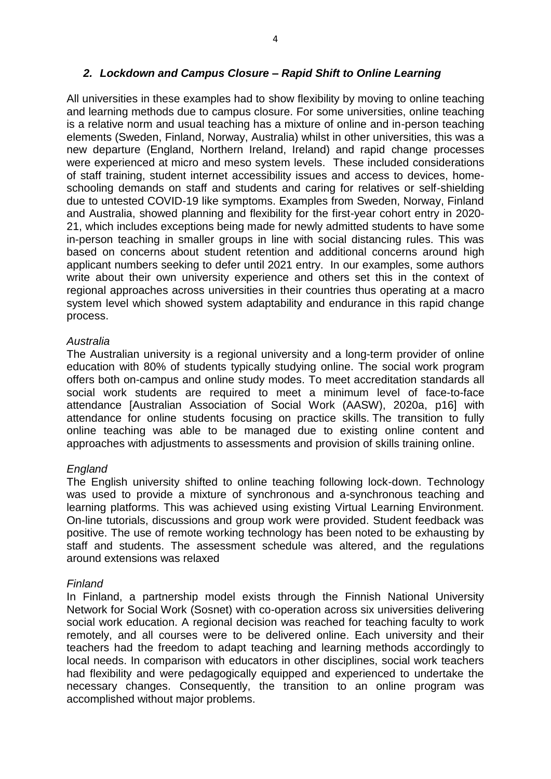# *2. Lockdown and Campus Closure – Rapid Shift to Online Learning*

All universities in these examples had to show flexibility by moving to online teaching and learning methods due to campus closure. For some universities, online teaching is a relative norm and usual teaching has a mixture of online and in-person teaching elements (Sweden, Finland, Norway, Australia) whilst in other universities, this was a new departure (England, Northern Ireland, Ireland) and rapid change processes were experienced at micro and meso system levels. These included considerations of staff training, student internet accessibility issues and access to devices, homeschooling demands on staff and students and caring for relatives or self-shielding due to untested COVID-19 like symptoms. Examples from Sweden, Norway, Finland and Australia, showed planning and flexibility for the first-year cohort entry in 2020- 21, which includes exceptions being made for newly admitted students to have some in-person teaching in smaller groups in line with social distancing rules. This was based on concerns about student retention and additional concerns around high applicant numbers seeking to defer until 2021 entry. In our examples, some authors write about their own university experience and others set this in the context of regional approaches across universities in their countries thus operating at a macro system level which showed system adaptability and endurance in this rapid change process.

### *Australia*

The Australian university is a regional university and a long-term provider of online education with 80% of students typically studying online. The social work program offers both on-campus and online study modes. To meet accreditation standards all social work students are required to meet a minimum level of face-to-face attendance [Australian Association of Social Work (AASW), 2020a, p16] with attendance for online students focusing on practice skills. The transition to fully online teaching was able to be managed due to existing online content and approaches with adjustments to assessments and provision of skills training online.

### *England*

The English university shifted to online teaching following lock-down. Technology was used to provide a mixture of synchronous and a-synchronous teaching and learning platforms. This was achieved using existing Virtual Learning Environment. On-line tutorials, discussions and group work were provided. Student feedback was positive. The use of remote working technology has been noted to be exhausting by staff and students. The assessment schedule was altered, and the regulations around extensions was relaxed

#### *Finland*

In Finland, a partnership model exists through the Finnish National University Network for Social Work (Sosnet) with co-operation across six universities delivering social work education. A regional decision was reached for teaching faculty to work remotely, and all courses were to be delivered online. Each university and their teachers had the freedom to adapt teaching and learning methods accordingly to local needs. In comparison with educators in other disciplines, social work teachers had flexibility and were pedagogically equipped and experienced to undertake the necessary changes. Consequently, the transition to an online program was accomplished without major problems.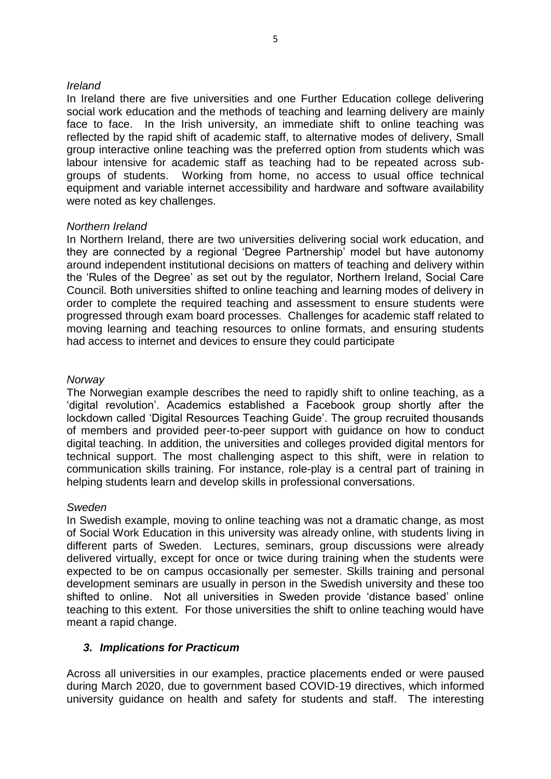# *Ireland*

In Ireland there are five universities and one Further Education college delivering social work education and the methods of teaching and learning delivery are mainly face to face. In the Irish university, an immediate shift to online teaching was reflected by the rapid shift of academic staff, to alternative modes of delivery, Small group interactive online teaching was the preferred option from students which was labour intensive for academic staff as teaching had to be repeated across subgroups of students. Working from home, no access to usual office technical equipment and variable internet accessibility and hardware and software availability were noted as key challenges.

## *Northern Ireland*

In Northern Ireland, there are two universities delivering social work education, and they are connected by a regional 'Degree Partnership' model but have autonomy around independent institutional decisions on matters of teaching and delivery within the 'Rules of the Degree' as set out by the regulator, Northern Ireland, Social Care Council. Both universities shifted to online teaching and learning modes of delivery in order to complete the required teaching and assessment to ensure students were progressed through exam board processes. Challenges for academic staff related to moving learning and teaching resources to online formats, and ensuring students had access to internet and devices to ensure they could participate

## *Norway*

The Norwegian example describes the need to rapidly shift to online teaching, as a 'digital revolution'. Academics established a Facebook group shortly after the lockdown called 'Digital Resources Teaching Guide'. The group recruited thousands of members and provided peer-to-peer support with guidance on how to conduct digital teaching. In addition, the universities and colleges provided digital mentors for technical support. The most challenging aspect to this shift, were in relation to communication skills training. For instance, role-play is a central part of training in helping students learn and develop skills in professional conversations.

### *Sweden*

In Swedish example, moving to online teaching was not a dramatic change, as most of Social Work Education in this university was already online, with students living in different parts of Sweden. Lectures, seminars, group discussions were already delivered virtually, except for once or twice during training when the students were expected to be on campus occasionally per semester. Skills training and personal development seminars are usually in person in the Swedish university and these too shifted to online. Not all universities in Sweden provide 'distance based' online teaching to this extent. For those universities the shift to online teaching would have meant a rapid change.

# *3. Implications for Practicum*

Across all universities in our examples, practice placements ended or were paused during March 2020, due to government based COVID-19 directives, which informed university guidance on health and safety for students and staff. The interesting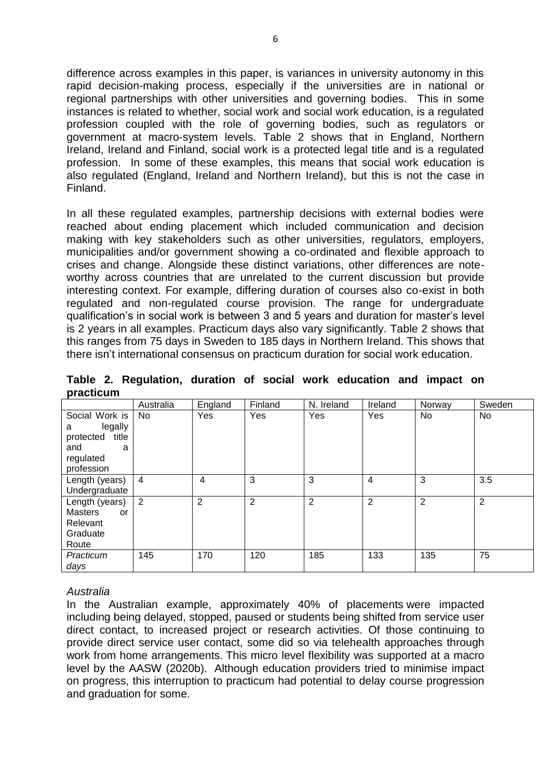difference across examples in this paper, is variances in university autonomy in this rapid decision-making process, especially if the universities are in national or regional partnerships with other universities and governing bodies. This in some instances is related to whether, social work and social work education, is a regulated profession coupled with the role of governing bodies, such as regulators or government at macro-system levels. Table 2 shows that in England, Northern Ireland, Ireland and Finland, social work is a protected legal title and is a regulated profession. In some of these examples, this means that social work education is also regulated (England, Ireland and Northern Ireland), but this is not the case in Finland.

In all these regulated examples, partnership decisions with external bodies were reached about ending placement which included communication and decision making with key stakeholders such as other universities, regulators, employers, municipalities and/or government showing a co-ordinated and flexible approach to crises and change. Alongside these distinct variations, other differences are noteworthy across countries that are unrelated to the current discussion but provide interesting context. For example, differing duration of courses also co-exist in both regulated and non-regulated course provision. The range for undergraduate qualification's in social work is between 3 and 5 years and duration for master's level is 2 years in all examples. Practicum days also vary significantly. Table 2 shows that this ranges from 75 days in Sweden to 185 days in Northern Ireland. This shows that there isn't international consensus on practicum duration for social work education.

| practicum |  | Table 2. Regulation, duration of social work education and impact on |  |  |  |  |
|-----------|--|----------------------------------------------------------------------|--|--|--|--|
|           |  |                                                                      |  |  |  |  |

|                                                                                             | Australia | England        | Finland        | N. Ireland     | Ireland        | Norway         | Sweden         |
|---------------------------------------------------------------------------------------------|-----------|----------------|----------------|----------------|----------------|----------------|----------------|
| Social Work is<br>legally<br>a<br>title<br>protected<br>and<br>a<br>regulated<br>profession | No.       | Yes            | Yes            | Yes            | Yes            | No.            | No.            |
| Length (years)<br>Undergraduate                                                             | 4         | 4              | 3              | 3              | 4              | 3              | 3.5            |
| Length (years)<br><b>Masters</b><br>or<br>Relevant<br>Graduate<br>Route                     | 2         | $\overline{2}$ | $\overline{2}$ | $\overline{2}$ | $\overline{2}$ | $\overline{2}$ | $\overline{2}$ |
| Practicum<br>days                                                                           | 145       | 170            | 120            | 185            | 133            | 135            | 75             |

# *Australia*

In the Australian example, approximately 40% of placements were impacted including being delayed, stopped, paused or students being shifted from service user direct contact, to increased project or research activities. Of those continuing to provide direct service user contact, some did so via telehealth approaches through work from home arrangements. This micro level flexibility was supported at a macro level by the AASW (2020b). Although education providers tried to minimise impact on progress, this interruption to practicum had potential to delay course progression and graduation for some.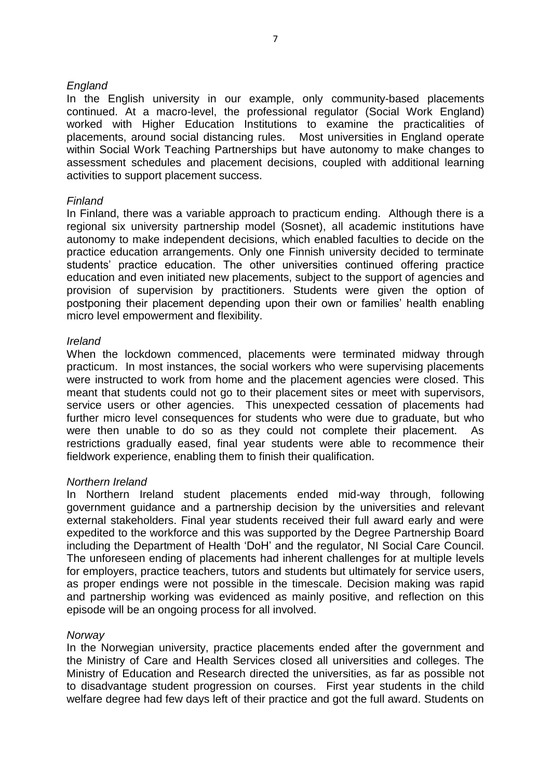## *England*

In the English university in our example, only community-based placements continued. At a macro-level, the professional regulator (Social Work England) worked with Higher Education Institutions to examine the practicalities of placements, around social distancing rules. Most universities in England operate within Social Work Teaching Partnerships but have autonomy to make changes to assessment schedules and placement decisions, coupled with additional learning activities to support placement success.

## *Finland*

In Finland, there was a variable approach to practicum ending. Although there is a regional six university partnership model (Sosnet), all academic institutions have autonomy to make independent decisions, which enabled faculties to decide on the practice education arrangements. Only one Finnish university decided to terminate students' practice education. The other universities continued offering practice education and even initiated new placements, subject to the support of agencies and provision of supervision by practitioners. Students were given the option of postponing their placement depending upon their own or families' health enabling micro level empowerment and flexibility.

## *Ireland*

When the lockdown commenced, placements were terminated midway through practicum. In most instances, the social workers who were supervising placements were instructed to work from home and the placement agencies were closed. This meant that students could not go to their placement sites or meet with supervisors, service users or other agencies. This unexpected cessation of placements had further micro level consequences for students who were due to graduate, but who were then unable to do so as they could not complete their placement. As restrictions gradually eased, final year students were able to recommence their fieldwork experience, enabling them to finish their qualification.

# *Northern Ireland*

In Northern Ireland student placements ended mid-way through, following government guidance and a partnership decision by the universities and relevant external stakeholders. Final year students received their full award early and were expedited to the workforce and this was supported by the Degree Partnership Board including the Department of Health 'DoH' and the regulator, NI Social Care Council. The unforeseen ending of placements had inherent challenges for at multiple levels for employers, practice teachers, tutors and students but ultimately for service users, as proper endings were not possible in the timescale. Decision making was rapid and partnership working was evidenced as mainly positive, and reflection on this episode will be an ongoing process for all involved.

# *Norway*

In the Norwegian university, practice placements ended after the government and the Ministry of Care and Health Services closed all universities and colleges. The Ministry of Education and Research directed the universities, as far as possible not to disadvantage student progression on courses. First year students in the child welfare degree had few days left of their practice and got the full award. Students on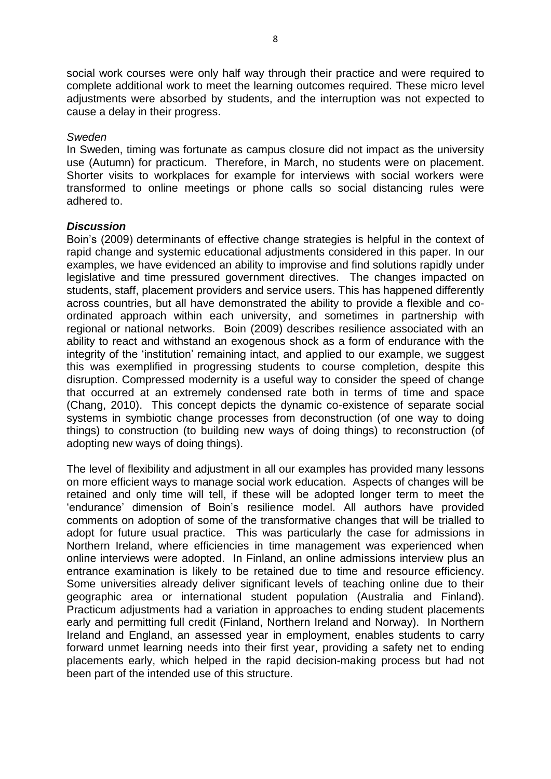social work courses were only half way through their practice and were required to complete additional work to meet the learning outcomes required. These micro level adjustments were absorbed by students, and the interruption was not expected to cause a delay in their progress.

## *Sweden*

In Sweden, timing was fortunate as campus closure did not impact as the university use (Autumn) for practicum. Therefore, in March, no students were on placement. Shorter visits to workplaces for example for interviews with social workers were transformed to online meetings or phone calls so social distancing rules were adhered to.

## *Discussion*

Boin's (2009) determinants of effective change strategies is helpful in the context of rapid change and systemic educational adjustments considered in this paper. In our examples, we have evidenced an ability to improvise and find solutions rapidly under legislative and time pressured government directives. The changes impacted on students, staff, placement providers and service users. This has happened differently across countries, but all have demonstrated the ability to provide a flexible and coordinated approach within each university, and sometimes in partnership with regional or national networks. Boin (2009) describes resilience associated with an ability to react and withstand an exogenous shock as a form of endurance with the integrity of the 'institution' remaining intact, and applied to our example, we suggest this was exemplified in progressing students to course completion, despite this disruption. Compressed modernity is a useful way to consider the speed of change that occurred at an extremely condensed rate both in terms of time and space (Chang, 2010). This concept depicts the dynamic co-existence of separate social systems in symbiotic change processes from deconstruction (of one way to doing things) to construction (to building new ways of doing things) to reconstruction (of adopting new ways of doing things).

The level of flexibility and adjustment in all our examples has provided many lessons on more efficient ways to manage social work education. Aspects of changes will be retained and only time will tell, if these will be adopted longer term to meet the 'endurance' dimension of Boin's resilience model. All authors have provided comments on adoption of some of the transformative changes that will be trialled to adopt for future usual practice. This was particularly the case for admissions in Northern Ireland, where efficiencies in time management was experienced when online interviews were adopted. In Finland, an online admissions interview plus an entrance examination is likely to be retained due to time and resource efficiency. Some universities already deliver significant levels of teaching online due to their geographic area or international student population (Australia and Finland). Practicum adjustments had a variation in approaches to ending student placements early and permitting full credit (Finland, Northern Ireland and Norway). In Northern Ireland and England, an assessed year in employment, enables students to carry forward unmet learning needs into their first year, providing a safety net to ending placements early, which helped in the rapid decision-making process but had not been part of the intended use of this structure.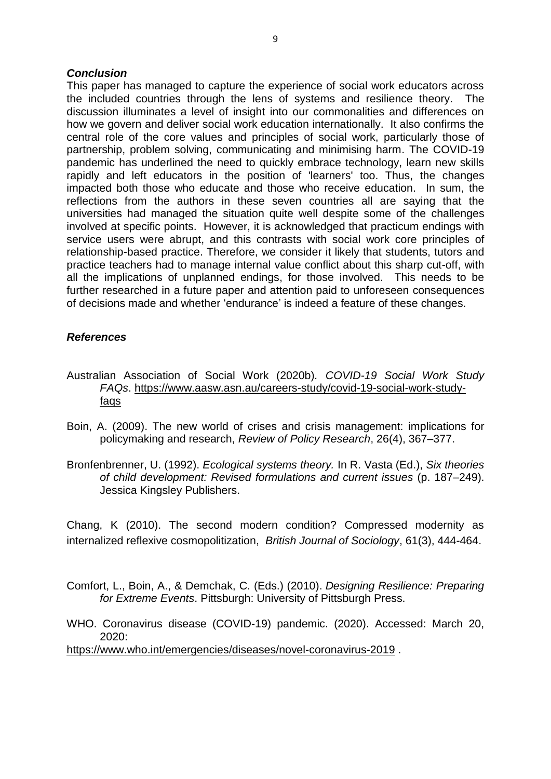## *Conclusion*

This paper has managed to capture the experience of social work educators across the included countries through the lens of systems and resilience theory. The discussion illuminates a level of insight into our commonalities and differences on how we govern and deliver social work education internationally. It also confirms the central role of the core values and principles of social work, particularly those of partnership, problem solving, communicating and minimising harm. The COVID-19 pandemic has underlined the need to quickly embrace technology, learn new skills rapidly and left educators in the position of 'learners' too. Thus, the changes impacted both those who educate and those who receive education. In sum, the reflections from the authors in these seven countries all are saying that the universities had managed the situation quite well despite some of the challenges involved at specific points. However, it is acknowledged that practicum endings with service users were abrupt, and this contrasts with social work core principles of relationship-based practice. Therefore, we consider it likely that students, tutors and practice teachers had to manage internal value conflict about this sharp cut-off, with all the implications of unplanned endings, for those involved. This needs to be further researched in a future paper and attention paid to unforeseen consequences of decisions made and whether 'endurance' is indeed a feature of these changes.

# *References*

- Australian Association of Social Work (2020b)*. COVID-19 Social Work Study FAQs*. [https://www.aasw.asn.au/careers-study/covid-19-social-work-study](https://eur03.safelinks.protection.outlook.com/?url=https%3A%2F%2Fwww.aasw.asn.au%2Fcareers-study%2Fcovid-19-social-work-study-faqs&data=02%7C01%7Cp.mcfadden%40ulster.ac.uk%7C72860d794caa48fa4b4508d805dccbd9%7C6f0b94874fa842a8aeb4bf2e2c22d4e8%7C0%7C0%7C637265793211327935&sdata=%2BGIXVBdxklJmPayhW7TiTRykO%2BLxFX7s7VvgCoyGLp0%3D&reserved=0)fags
- Boin, A. (2009). The new world of crises and crisis management: implications for policymaking and research, *Review of Policy Research*, 26(4), 367–377.
- Bronfenbrenner, U. (1992). *Ecological systems theory.* In R. Vasta (Ed.), *Six theories of child development: Revised formulations and current issues* (p. 187–249). Jessica Kingsley Publishers.

Chang, K (2010). The second modern condition? Compressed modernity as internalized reflexive cosmopolitization, *British Journal of Sociology*, 61(3), 444-464.

- Comfort, L., Boin, A., & Demchak, C. (Eds.) (2010). *Designing Resilience: Preparing for Extreme Events*. Pittsburgh: University of Pittsburgh Press.
- WHO. Coronavirus disease (COVID-19) pandemic. (2020). Accessed: March 20, 2020:

<https://www.who.int/emergencies/diseases/novel-coronavirus-2019> .